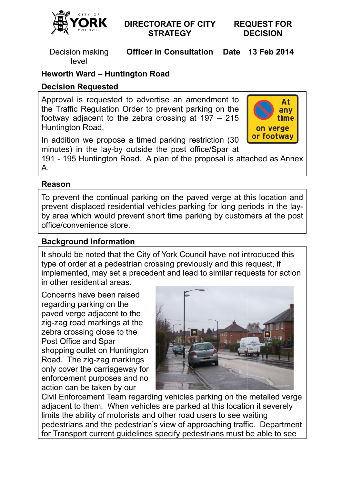

# **DIRECTORATE OF CITY STRATEGY**

**REQUEST FOR DECISION**

Decision making level

**Officer in Consultation** 

**13 Feb 2014** 

# **Heworth Ward – Huntington Road**

# **Decision Requested**

Approval is requested to advertise an amendment to the Traffic Regulation Order to prevent parking on the footway adjacent to the zebra crossing at 197 – 215 Huntington Road.



In addition we propose a timed parking restriction (30 minutes) in the lay-by outside the post office/Spar at

minutes) in the Iay-by outside the post office/Spar at<br>191 - 195 Huntington Road. A plan of the proposal is attached as Annex A.

# **Reason**

To prevent the continual parking on the paved verge at this location location and prevent displaced residential vehicles parking for long periods periods in the layby area which would prevent short time parking by customers at the post office/convenience store.

# **Background Information**

It should be noted that the City of York Council have not introduced this type of order at a pedestrian crossing previously and this request, if implemented, may set a precedent and lead to similar requests for action in other residential areas.

Concerns have been raised regarding parking on the paved verge adjacent to the zig-zag road markings at the zebra crossing close to the Post Office and Spar shopping outlet on Huntington Road. The zig-zag markings only cover the carriageway for enforcement purposes and no action can be taken by our



Civil Enforcement Team regarding vehicles parking on the metalled verge adjacent to them. When vehicles are parked at this location it severely limits the ability of motorists and other road users to see waiting pedestrians and the pedestrian's view of approaching traffic. Department for Transport current guidelines specify pedestrians must be able to see zag road markings at the<br>ra crossing close to the<br>t Office and Spar<br>pping outlet on Huntington<br>d. The zig-zag markings<br>v cover the carriageway for<br>procement purposes and no<br>on can be taken by our<br>I Enforcement Team regardi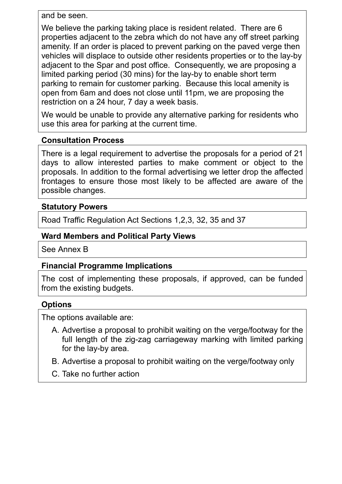and be seen.

We believe the parking taking place is resident related. There are 6 properties adjacent to the zebra which do not have any off street parking amenity. If an order is placed to prevent parking on the paved verge then vehicles will displace to outside other residents properties or to the lay-by adjacent to the Spar and post office. Consequently, we are proposing a limited parking period (30 mins) for the lay-by to enable short term parking to remain for customer parking. Because this local amenity is open from 6am and does not close until 11pm, we are proposing the restriction on a 24 hour, 7 day a week basis.

We would be unable to provide any alternative parking for residents who use this area for parking at the current time.

#### **Consultation Process**

There is a legal requirement to advertise the proposals for a period of 21 days to allow interested parties to make comment or object to the proposals. In addition to the formal advertising we letter drop the affected frontages to ensure those most likely to be affected are aware of the possible changes.

# **Statutory Powers**

Road Traffic Regulation Act Sections 1,2,3, 32, 35 and 37

# **Ward Members and Political Party Views**

See Annex B

# **Financial Programme Implications**

The cost of implementing these proposals, if approved, can be funded from the existing budgets.

# **Options**

The options available are:

- A. Advertise a proposal to prohibit waiting on the verge/footway for the full length of the zig-zag carriageway marking with limited parking for the lay-by area.
- B. Advertise a proposal to prohibit waiting on the verge/footway only
- C. Take no further action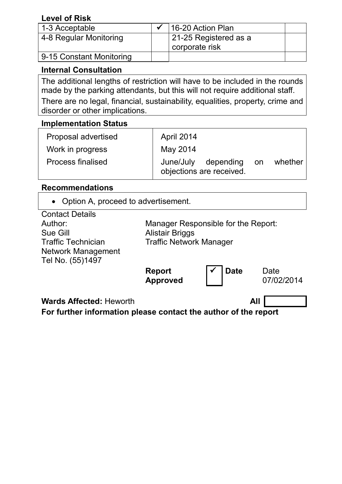# **Level of Risk**

| 1-3 Acceptable           | 16-20 Action Plan                       |  |
|--------------------------|-----------------------------------------|--|
| 4-8 Regular Monitoring   | 21-25 Registered as a<br>corporate risk |  |
| 9-15 Constant Monitoring |                                         |  |

# **Internal Consultation**

The additional lengths of restriction will have to be included in the rounds made by the parking attendants, but this will not require additional staff.

There are no legal, financial, sustainability, equalities, property, crime and disorder or other implications.

### **Implementation Status**

| Proposal advertised      | April 2014                                      |       |         |
|--------------------------|-------------------------------------------------|-------|---------|
| Work in progress         | May 2014                                        |       |         |
| <b>Process finalised</b> | June/July depending<br>objections are received. | on on | whether |

#### **Recommendations**

• Option A, proceed to advertisement.

| <b>Contact Details</b>         |                                     |             |            |  |  |
|--------------------------------|-------------------------------------|-------------|------------|--|--|
| Author:                        | Manager Responsible for the Report: |             |            |  |  |
| Sue Gill                       | <b>Alistair Briggs</b>              |             |            |  |  |
| <b>Traffic Technician</b>      | <b>Traffic Network Manager</b>      |             |            |  |  |
| <b>Network Management</b>      |                                     |             |            |  |  |
| Tel No. (55)1497               |                                     |             |            |  |  |
|                                | <b>Report</b>                       | <b>Date</b> | Date       |  |  |
|                                | <b>Approved</b>                     |             | 07/02/2014 |  |  |
|                                |                                     |             |            |  |  |
| <b>Wards Affected: Heworth</b> |                                     | All         |            |  |  |

**For further information please contact the author of the report**